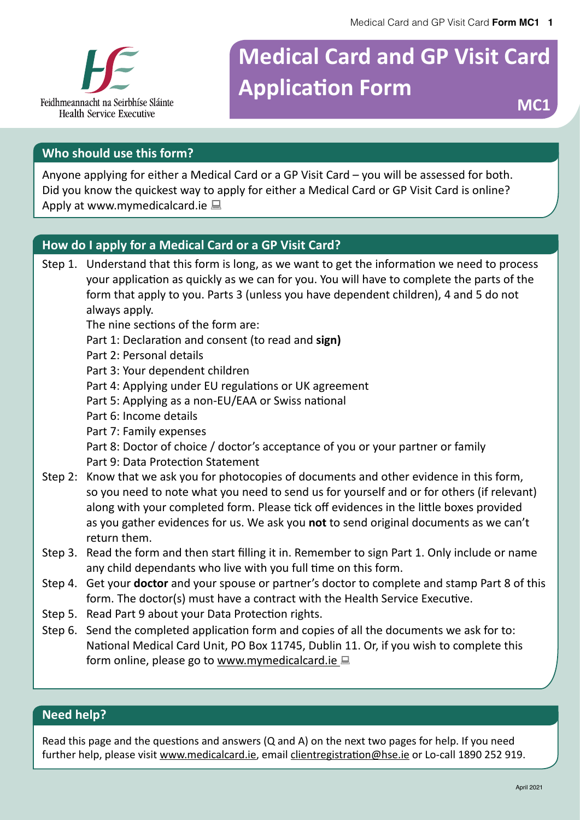

# **Medical Card and GP Visit Card Application Form**

### **Who should use this form?**

Anyone applying for either a Medical Card or a GP Visit Card – you will be assessed for both. Did you know the quickest way to apply for either a Medical Card or GP Visit Card is online? Apply at www.mymedicalcard.ie  $\Box$ 

### **How do I apply for a Medical Card or a GP Visit Card?**

Step 1. Understand that this form is long, as we want to get the information we need to process your application as quickly as we can for you. You will have to complete the parts of the form that apply to you. Parts 3 (unless you have dependent children), 4 and 5 do not always apply.

The nine sections of the form are:

- Part 1: Declaration and consent (to read and **sign)**
- Part 2: Personal details
- Part 3: Your dependent children
- Part 4: Applying under EU regulations or UK agreement
- Part 5: Applying as a non-EU/EAA or Swiss national
- Part 6: Income details
- Part 7: Family expenses
- Part 8: Doctor of choice / doctor's acceptance of you or your partner or family Part 9: Data Protection Statement
- Step 2: Know that we ask you for photocopies of documents and other evidence in this form, so you need to note what you need to send us for yourself and or for others (if relevant) along with your completed form. Please tick off evidences in the little boxes provided as you gather evidences for us. We ask you **not** to send original documents as we can't return them.
- Step 3. Read the form and then start filling it in. Remember to sign Part 1. Only include or name any child dependants who live with you full time on this form.
- Step 4. Get your **doctor** and your spouse or partner's doctor to complete and stamp Part 8 of this form. The doctor(s) must have a contract with the Health Service Executive.
- Step 5. Read Part 9 about your Data Protection rights.
- Step 6. Send the completed application form and copies of all the documents we ask for to: National Medical Card Unit, PO Box 11745, Dublin 11. Or, if you wish to complete this form online, please go to www.mymedicalcard.ie  $\Box$

### **Need help?**

Read this page and the questions and answers (Q and A) on the next two pages for help. If you need further help, please visit www.medicalcard.ie, email clientregistration@hse.ie or Lo-call 1890 252 919.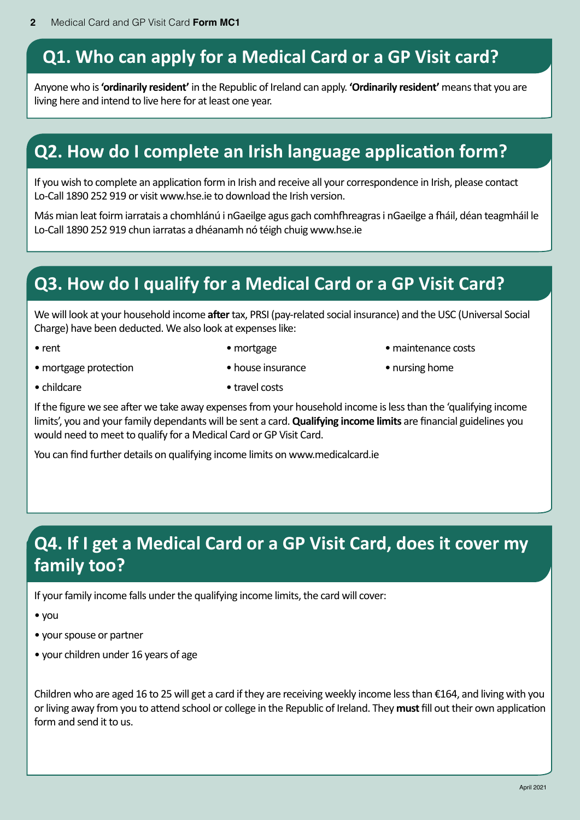# **Q1. Who can apply for a Medical Card or a GP Visit card?**

Anyone who is **'ordinarily resident'** in the Republic of Ireland can apply. **'Ordinarily resident'** means that you are living here and intend to live here for at least one year.

# **Q2. How do I complete an Irish language application form?**

If you wish to complete an application form in Irish and receive all your correspondence in Irish, please contact Lo-Call 1890 252 919 or visit www.hse.ie to download the Irish version.

Más mian leat foirm iarratais a chomhlánú i nGaeilge agus gach comhfhreagras i nGaeilge a fháil, déan teagmháil le Lo-Call 1890 252 919 chun iarratas a dhéanamh nó téigh chuig www.hse.ie

# **Q3. How do I qualify for a Medical Card or a GP Visit Card?**

We will look at your household income **after** tax, PRSI (pay-related social insurance) and the USC (Universal Social Charge) have been deducted. We also look at expenses like:

- 
- rent mortgage mortgage maintenance costs
- mortgage protection house insurance • nursing home
	-
- 
- childcare travel costs

If the figure we see after we take away expenses from your household income is less than the 'qualifying income limits', you and your family dependants will be sent a card. **Qualifying income limits** are financial guidelines you would need to meet to qualify for a Medical Card or GP Visit Card.

You can find further details on qualifying income limits on www.medicalcard.ie

# **Q4. If I get a Medical Card or a GP Visit Card, does it cover my family too?**

If your family income falls under the qualifying income limits, the card will cover:

• you

- your spouse or partner
- your children under 16 years of age

Children who are aged 16 to 25 will get a card if they are receiving weekly income less than €164, and living with you or living away from you to attend school or college in the Republic of Ireland. They **must** fill out their own application form and send it to us.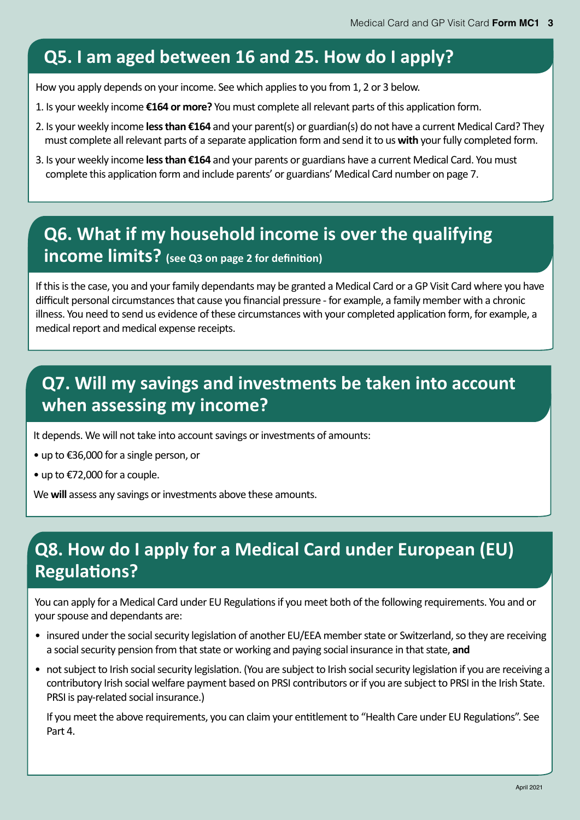# **Q5. I am aged between 16 and 25. How do I apply?**

How you apply depends on your income. See which applies to you from 1, 2 or 3 below.

- 1. Is your weekly income **€164 or more?** You must complete all relevant parts of this application form.
- 2. Is your weekly income **less than €164** and your parent(s) or guardian(s) do not have a current Medical Card? They must complete all relevant parts of a separate application form and send it to us **with** your fully completed form.
- 3. Is your weekly income **less than €164** and your parents or guardians have a current Medical Card. You must complete this application form and include parents' or guardians' Medical Card number on page 7.

# **Q6. What if my household income is over the qualifying income limits? (see Q3 on page 2 for definition)**

If this is the case, you and your family dependants may be granted a Medical Card or a GP Visit Card where you have difficult personal circumstances that cause you financial pressure - for example, a family member with a chronic illness. You need to send us evidence of these circumstances with your completed application form, for example, a medical report and medical expense receipts.

# **Q7. Will my savings and investments be taken into account when assessing my income?**

It depends. We will not take into account savings or investments of amounts:

- up to €36,000 for a single person, or
- up to €72,000 for a couple.

We **will** assess any savings or investments above these amounts.

# **Q8. How do I apply for a Medical Card under European (EU) Regulations?**

You can apply for a Medical Card under EU Regulations if you meet both of the following requirements. You and or your spouse and dependants are:

- insured under the social security legislation of another EU/EEA member state or Switzerland, so they are receiving a social security pension from that state or working and paying social insurance in that state, **and**
- not subject to Irish social security legislation. (You are subject to Irish social security legislation if you are receiving a contributory Irish social welfare payment based on PRSI contributors or if you are subject to PRSI in the Irish State. PRSI is pay-related social insurance.)

If you meet the above requirements, you can claim your entitlement to "Health Care under EU Regulations". See Part 4.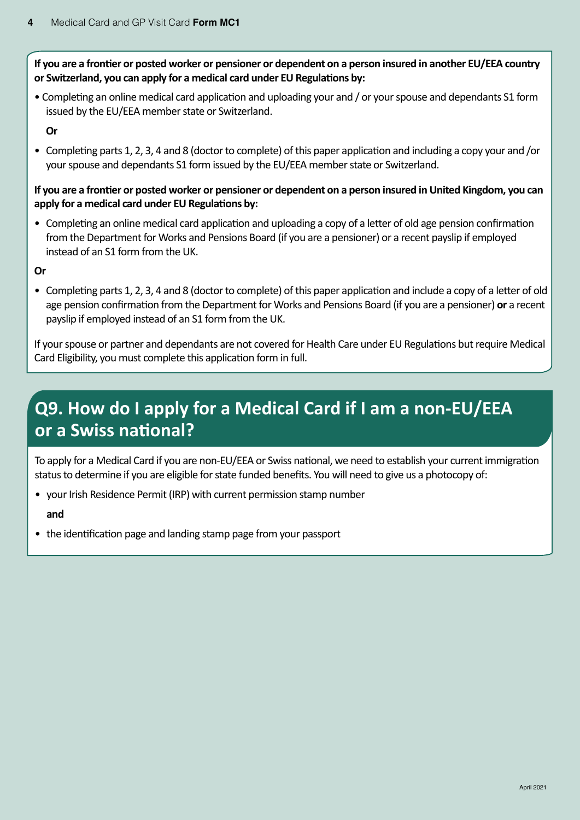**If you are a frontier or posted worker or pensioner or dependent on a person insured in another EU/EEA country or Switzerland, you can apply for a medical card under EU Regulations by:**

• Completing an online medical card application and uploading your and / or your spouse and dependants S1 form issued by the EU/EEA member state or Switzerland.

**Or**

• Completing parts 1, 2, 3, 4 and 8 (doctor to complete) of this paper application and including a copy your and /or your spouse and dependants S1 form issued by the EU/EEA member state or Switzerland.

#### **If you are a frontier or posted worker or pensioner or dependent on a person insured in United Kingdom, you can apply for a medical card under EU Regulations by:**

• Completing an online medical card application and uploading a copy of a letter of old age pension confirmation from the Department for Works and Pensions Board (if you are a pensioner) or a recent payslip if employed instead of an S1 form from the UK.

**Or**

• Completing parts 1, 2, 3, 4 and 8 (doctor to complete) of this paper application and include a copy of a letter of old age pension confirmation from the Department for Works and Pensions Board (if you are a pensioner) **or** a recent payslip if employed instead of an S1 form from the UK.

If your spouse or partner and dependants are not covered for Health Care under EU Regulations but require Medical Card Eligibility, you must complete this application form in full.

# **Q9. How do I apply for a Medical Card if I am a non-EU/EEA or a Swiss national?**

To apply for a Medical Card if you are non-EU/EEA or Swiss national, we need to establish your current immigration status to determine if you are eligible for state funded benefits. You will need to give us a photocopy of:

• your Irish Residence Permit (IRP) with current permission stamp number

**and**

• the identification page and landing stamp page from your passport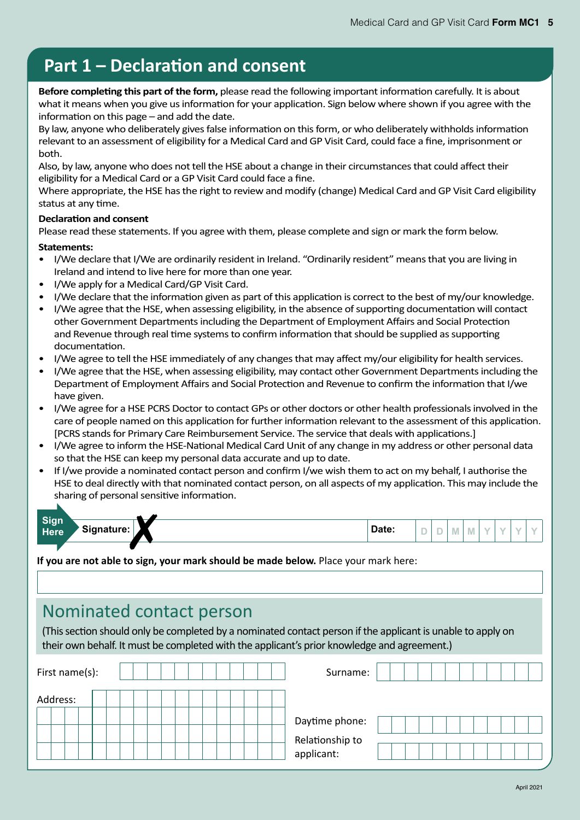# **Part 1 – Declaration and consent**

**Before completing this part of the form,** please read the following important information carefully. It is about what it means when you give us information for your application. Sign below where shown if you agree with the information on this page – and add the date.

By law, anyone who deliberately gives false information on this form, or who deliberately withholds information relevant to an assessment of eligibility for a Medical Card and GP Visit Card, could face a fine, imprisonment or both.

Also, by law, anyone who does not tell the HSE about a change in their circumstances that could affect their eligibility for a Medical Card or a GP Visit Card could face a fine.

Where appropriate, the HSE has the right to review and modify (change) Medical Card and GP Visit Card eligibility status at any time.

#### **Declaration and consent**

Please read these statements. If you agree with them, please complete and sign or mark the form below.

#### **Statements:**

- I/We declare that I/We are ordinarily resident in Ireland. "Ordinarily resident" means that you are living in Ireland and intend to live here for more than one year.
- I/We apply for a Medical Card/GP Visit Card.
- I/We declare that the information given as part of this application is correct to the best of my/our knowledge.
- I/We agree that the HSE, when assessing eligibility, in the absence of supporting documentation will contact other Government Departments including the Department of Employment Affairs and Social Protection and Revenue through real time systems to confirm information that should be supplied as supporting documentation.
- I/We agree to tell the HSE immediately of any changes that may affect my/our eligibility for health services.
- I/We agree that the HSE, when assessing eligibility, may contact other Government Departments including the Department of Employment Affairs and Social Protection and Revenue to confirm the information that I/we have given.
- I/We agree for a HSE PCRS Doctor to contact GPs or other doctors or other health professionals involved in the care of people named on this application for further information relevant to the assessment of this application. [PCRS stands for Primary Care Reimbursement Service. The service that deals with applications.]
- I/We agree to inform the HSE-National Medical Card Unit of any change in my address or other personal data so that the HSE can keep my personal data accurate and up to date.
- If I/we provide a nominated contact person and confirm I/we wish them to act on my behalf, I authorise the HSE to deal directly with that nominated contact person, on all aspects of my application. This may include the sharing of personal sensitive information.

| Sign<br>Here | Signature: | Date: | $\sim$ | $\sim$<br>$\sim$ |  |  |  |
|--------------|------------|-------|--------|------------------|--|--|--|
|              |            |       |        |                  |  |  |  |

**If you are not able to sign, your mark should be made below.** Place your mark here:

## Nominated contact person

(This section should only be completed by a nominated contact person if the applicant is unable to apply on their own behalf. It must be completed with the applicant's prior knowledge and agreement.)

| First name(s): |  |  |  |  |  | Surname:                      |  |
|----------------|--|--|--|--|--|-------------------------------|--|
| Address:       |  |  |  |  |  |                               |  |
|                |  |  |  |  |  | Daytime phone:                |  |
|                |  |  |  |  |  | Relationship to<br>applicant: |  |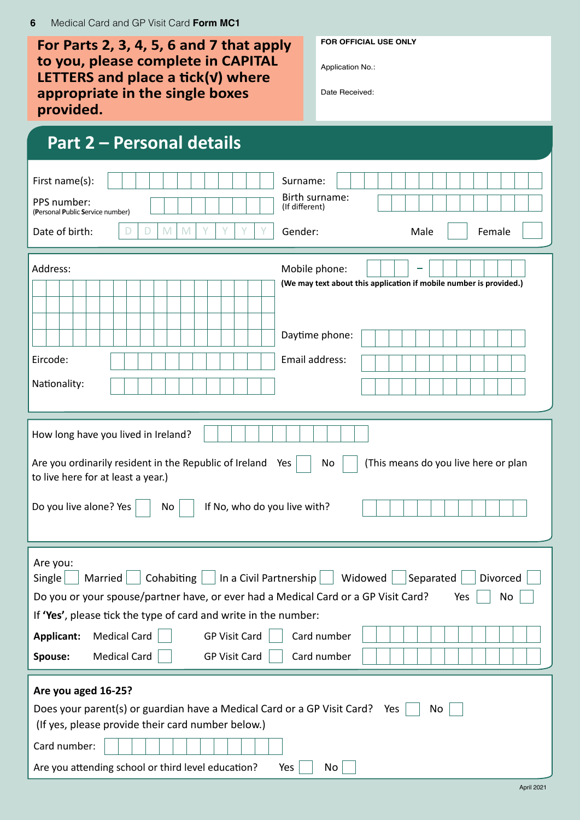| For Parts 2, 3, 4, 5, 6 and 7 that apply<br>to you, please complete in CAPITAL<br>LETTERS and place a tick( $V$ ) where<br>appropriate in the single boxes<br>provided.                                                                                                                                                                                                                                                                      | <b>FOR OFFICIAL USE ONLY</b><br>Application No.:<br>Date Received:                  |  |  |  |  |  |  |  |
|----------------------------------------------------------------------------------------------------------------------------------------------------------------------------------------------------------------------------------------------------------------------------------------------------------------------------------------------------------------------------------------------------------------------------------------------|-------------------------------------------------------------------------------------|--|--|--|--|--|--|--|
| <b>Part 2 – Personal details</b>                                                                                                                                                                                                                                                                                                                                                                                                             |                                                                                     |  |  |  |  |  |  |  |
| First name(s):<br>PPS number:<br>(Personal Public Service number)<br>Date of birth:<br>M<br>M<br>D                                                                                                                                                                                                                                                                                                                                           | Surname:<br>Birth surname:<br>(If different)<br>Gender:<br>Female<br>Male           |  |  |  |  |  |  |  |
| Address:                                                                                                                                                                                                                                                                                                                                                                                                                                     | Mobile phone:<br>(We may text about this application if mobile number is provided.) |  |  |  |  |  |  |  |
| Eircode:<br>Nationality:                                                                                                                                                                                                                                                                                                                                                                                                                     | Daytime phone:<br>Email address:                                                    |  |  |  |  |  |  |  |
| How long have you lived in Ireland?<br>Are you ordinarily resident in the Republic of Ireland<br>to live here for at least a year.)<br>Do you live alone? Yes<br>If No, who do you live with?<br>No                                                                                                                                                                                                                                          | (This means do you live here or plan<br>Yes<br>No.                                  |  |  |  |  |  |  |  |
| Are you:<br>  In a Civil Partnership   Nidowed   Separated    <br>Cohabiting $ $<br>Married<br>Divorced<br>Single<br>Do you or your spouse/partner have, or ever had a Medical Card or a GP Visit Card?<br>No<br>Yes<br>If 'Yes', please tick the type of card and write in the number:<br>Card number<br><b>Medical Card</b><br><b>GP Visit Card</b><br>Applicant:<br><b>Medical Card</b><br><b>GP Visit Card</b><br>Card number<br>Spouse: |                                                                                     |  |  |  |  |  |  |  |
| Are you aged 16-25?<br>Does your parent(s) or guardian have a Medical Card or a GP Visit Card?<br>Yes<br>No<br>(If yes, please provide their card number below.)<br>Card number:<br>Are you attending school or third level education?<br>Yes<br>No                                                                                                                                                                                          |                                                                                     |  |  |  |  |  |  |  |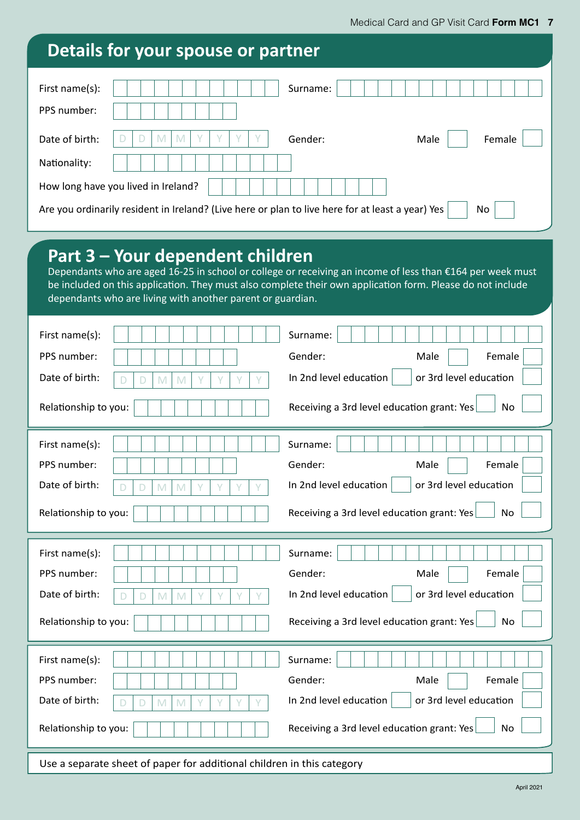| Details for your spouse or partner                                                               |                                                                                                                                                                                                                         |
|--------------------------------------------------------------------------------------------------|-------------------------------------------------------------------------------------------------------------------------------------------------------------------------------------------------------------------------|
| First name(s):<br>PPS number:                                                                    | Surname:                                                                                                                                                                                                                |
| Date of birth:<br>M<br>M<br>Nationality:                                                         | Gender:<br>Male<br>Female                                                                                                                                                                                               |
| How long have you lived in Ireland?                                                              | No.                                                                                                                                                                                                                     |
| Are you ordinarily resident in Ireland? (Live here or plan to live here for at least a year) Yes |                                                                                                                                                                                                                         |
| Part 3 – Your dependent children<br>dependants who are living with another parent or guardian.   | Dependants who are aged 16-25 in school or college or receiving an income of less than €164 per week must<br>be included on this application. They must also complete their own application form. Please do not include |
| First name(s):                                                                                   | Surname:                                                                                                                                                                                                                |
| PPS number:                                                                                      | Female<br>Gender:<br>Male                                                                                                                                                                                               |
| Date of birth:<br>M<br>M<br>D                                                                    | In 2nd level education<br>or 3rd level education                                                                                                                                                                        |
| Relationship to you:                                                                             | Receiving a 3rd level education grant: Yes<br><b>No</b>                                                                                                                                                                 |
| First name(s):                                                                                   | Surname:                                                                                                                                                                                                                |
| PPS number:                                                                                      | Gender:<br>Female<br>Male                                                                                                                                                                                               |
| Date of birth:<br>$\mathbb M$<br>D<br>M<br>Y                                                     | In 2nd level education<br>or 3rd level education                                                                                                                                                                        |
| Relationship to you:                                                                             | Receiving a 3rd level education grant: Yes<br>No                                                                                                                                                                        |
| First name(s):                                                                                   | Surname:                                                                                                                                                                                                                |
| PPS number:                                                                                      | Gender:<br>Female<br>Male                                                                                                                                                                                               |
| Date of birth:<br>Y<br>M<br>M<br>D                                                               | In 2nd level education<br>or 3rd level education                                                                                                                                                                        |
| Relationship to you:                                                                             | Receiving a 3rd level education grant: Yes<br><b>No</b>                                                                                                                                                                 |
| First name(s):<br>PPS number:                                                                    | Surname:<br>Gender:<br>Female<br>Male                                                                                                                                                                                   |
| Date of birth:<br>$\mathbb M$<br>M<br>D<br>Relationship to you:                                  | In 2nd level education<br>or 3rd level education<br>Receiving a 3rd level education grant: Yes<br>No                                                                                                                    |

Use a separate sheet of paper for additional children in this category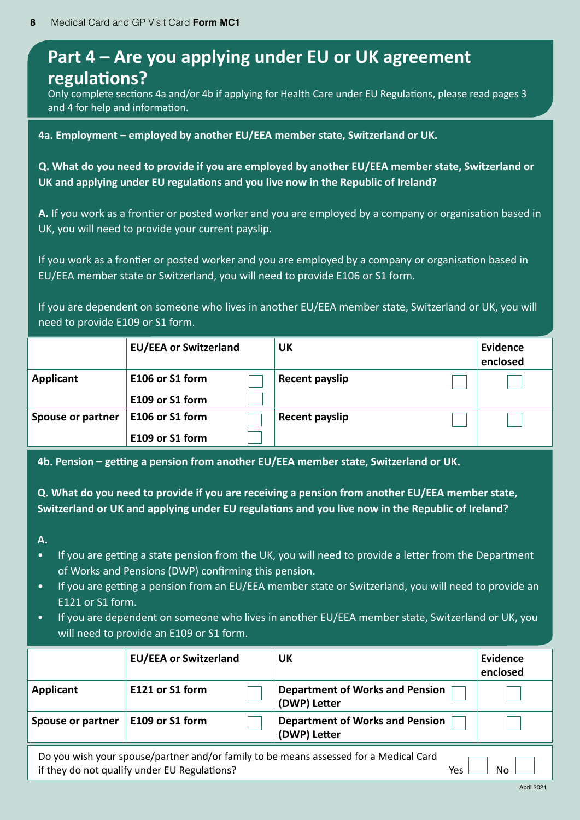## **Part 4 – Are you applying under EU or UK agreement regulations?**

Only complete sections 4a and/or 4b if applying for Health Care under EU Regulations, please read pages 3 and 4 for help and information.

**4a. Employment – employed by another EU/EEA member state, Switzerland or UK.**

**Q. What do you need to provide if you are employed by another EU/EEA member state, Switzerland or UK and applying under EU regulations and you live now in the Republic of Ireland?**

**A.** If you work as a frontier or posted worker and you are employed by a company or organisation based in UK, you will need to provide your current payslip.

If you work as a frontier or posted worker and you are employed by a company or organisation based in EU/EEA member state or Switzerland, you will need to provide E106 or S1 form.

If you are dependent on someone who lives in another EU/EEA member state, Switzerland or UK, you will need to provide E109 or S1 form.

|                          | <b>EU/EEA or Switzerland</b>       | UK             | Evidence<br>enclosed |
|--------------------------|------------------------------------|----------------|----------------------|
| Applicant                | E106 or S1 form<br>E109 or S1 form | Recent payslip |                      |
| <b>Spouse or partner</b> | E106 or S1 form<br>E109 or S1 form | Recent payslip |                      |

**4b. Pension – getting a pension from another EU/EEA member state, Switzerland or UK.**

**Q. What do you need to provide if you are receiving a pension from another EU/EEA member state, Switzerland or UK and applying under EU regulations and you live now in the Republic of Ireland?**

**A.**

- If you are getting a state pension from the UK, you will need to provide a letter from the Department of Works and Pensions (DWP) confirming this pension.
- If you are getting a pension from an EU/EEA member state or Switzerland, you will need to provide an E121 or S1 form.
- If you are dependent on someone who lives in another EU/EEA member state, Switzerland or UK, you will need to provide an E109 or S1 form.

|                                                                                                                                                    | <b>EU/EEA or Switzerland</b> | UK                                                     | Evidence<br>enclosed |  |  |  |  |  |  |  |
|----------------------------------------------------------------------------------------------------------------------------------------------------|------------------------------|--------------------------------------------------------|----------------------|--|--|--|--|--|--|--|
| Applicant                                                                                                                                          | E121 or S1 form              | <b>Department of Works and Pension</b><br>(DWP) Letter |                      |  |  |  |  |  |  |  |
| E109 or S1 form<br><b>Department of Works and Pension</b><br><b>Spouse or partner</b><br>(DWP) Letter                                              |                              |                                                        |                      |  |  |  |  |  |  |  |
| Do you wish your spouse/partner and/or family to be means assessed for a Medical Card<br>if they do not qualify under EU Regulations?<br>N٥<br>Yes |                              |                                                        |                      |  |  |  |  |  |  |  |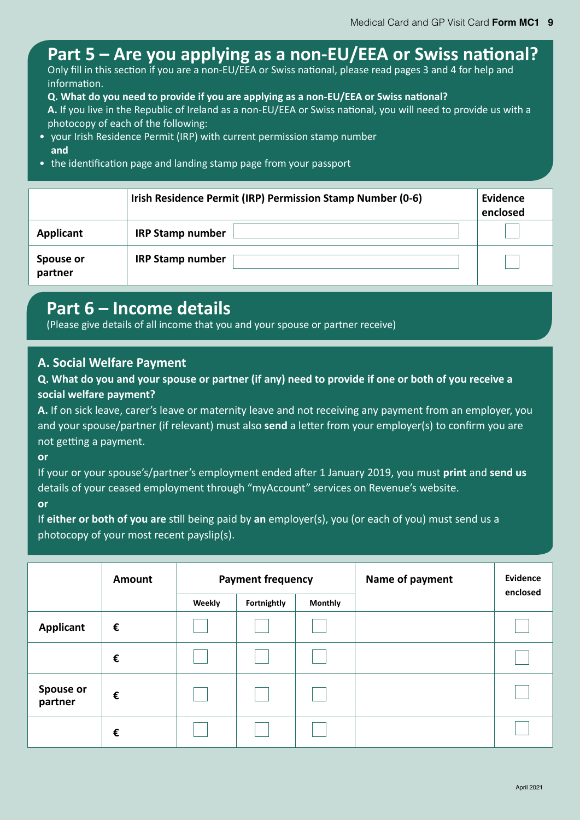# **Part 5 – Are you applying as a non-EU/EEA or Swiss national?**

Only fill in this section if you are a non-EU/EEA or Swiss national, please read pages 3 and 4 for help and information.

**Q. What do you need to provide if you are applying as a non-EU/EEA or Swiss national?**

**A.** If you live in the Republic of Ireland as a non-EU/EEA or Swiss national, you will need to provide us with a photocopy of each of the following:

- your Irish Residence Permit (IRP) with current permission stamp number **and**
- the identification page and landing stamp page from your passport

|                      | Irish Residence Permit (IRP) Permission Stamp Number (0-6) | Evidence<br>enclosed |
|----------------------|------------------------------------------------------------|----------------------|
| <b>Applicant</b>     | <b>IRP Stamp number</b>                                    |                      |
| Spouse or<br>partner | <b>IRP Stamp number</b>                                    |                      |

### **Part 6 – Income details**

(Please give details of all income that you and your spouse or partner receive)

### **A. Social Welfare Payment**

### **Q. What do you and your spouse or partner (if any) need to provide if one or both of you receive a social welfare payment?**

**A.** If on sick leave, carer's leave or maternity leave and not receiving any payment from an employer, you and your spouse/partner (if relevant) must also **send** a letter from your employer(s) to confirm you are not getting a payment.

**or**

If your or your spouse's/partner's employment ended after 1 January 2019, you must **print** and **send us** details of your ceased employment through "myAccount" services on Revenue's website.

**or**

If **either or both of you are** still being paid by **an** employer(s), you (or each of you) must send us a photocopy of your most recent payslip(s).

|                             | Amount |        | <b>Payment frequency</b> |                | Name of payment | Evidence |
|-----------------------------|--------|--------|--------------------------|----------------|-----------------|----------|
|                             |        | Weekly | Fortnightly              | <b>Monthly</b> |                 | enclosed |
| <b>Applicant</b>            | €      |        |                          |                |                 |          |
|                             | €      |        |                          |                |                 |          |
| <b>Spouse or</b><br>partner | €      |        |                          |                |                 |          |
|                             | €      |        |                          |                |                 |          |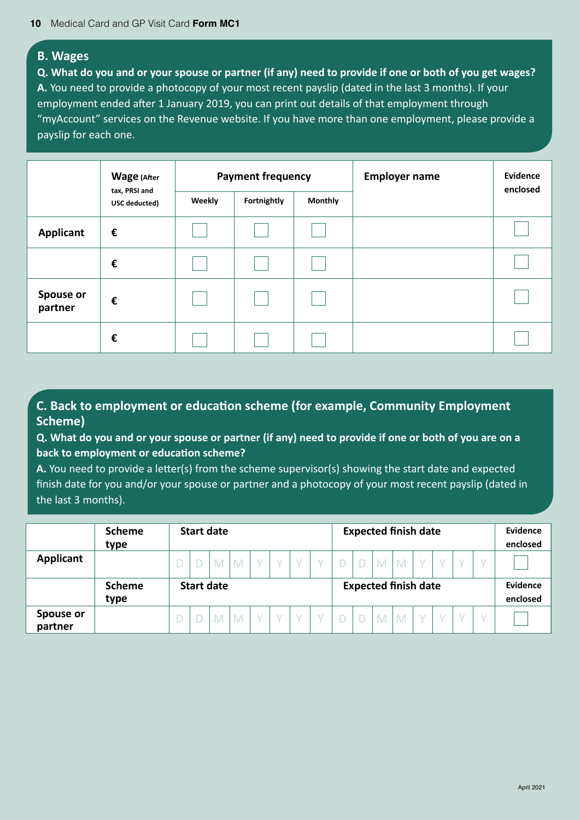#### **B. Wages**

**Q. What do you and or your spouse or partner (if any) need to provide if one or both of you get wages? A.** You need to provide a photocopy of your most recent payslip (dated in the last 3 months). If your employment ended after 1 January 2019, you can print out details of that employment through "myAccount" services on the Revenue website. If you have more than one employment, please provide a payslip for each one.

|                             | <b>Wage (After</b>             |        | <b>Payment frequency</b> |                | <b>Employer name</b> | <b>Evidence</b><br>enclosed |
|-----------------------------|--------------------------------|--------|--------------------------|----------------|----------------------|-----------------------------|
|                             | tax, PRSI and<br>USC deducted) | Weekly | Fortnightly              | <b>Monthly</b> |                      |                             |
| <b>Applicant</b>            | €                              |        |                          |                |                      |                             |
|                             | €                              |        |                          |                |                      |                             |
| <b>Spouse or</b><br>partner | €                              |        |                          |                |                      |                             |
|                             | €                              |        |                          |                |                      |                             |

### **C. Back to employment or education scheme (for example, Community Employment Scheme)**

**Q. What do you and or your spouse or partner (if any) need to provide if one or both of you are on a back to employment or education scheme?**

**A.** You need to provide a letter(s) from the scheme supervisor(s) showing the start date and expected finish date for you and/or your spouse or partner and a photocopy of your most recent payslip (dated in the last 3 months).

|                      | <b>Scheme</b><br>type | <b>Start date</b>                                |   |   |  |  |  |  | <b>Expected finish date</b> |  |   |   |  |  |          |  | Evidence<br>enclosed |
|----------------------|-----------------------|--------------------------------------------------|---|---|--|--|--|--|-----------------------------|--|---|---|--|--|----------|--|----------------------|
| Applicant            |                       |                                                  | M | M |  |  |  |  |                             |  | M | M |  |  |          |  |                      |
|                      | <b>Scheme</b>         | <b>Expected finish date</b><br><b>Start date</b> |   |   |  |  |  |  |                             |  |   |   |  |  | Evidence |  |                      |
|                      | type                  |                                                  |   |   |  |  |  |  |                             |  |   |   |  |  |          |  | enclosed             |
| Spouse or<br>partner |                       |                                                  | M |   |  |  |  |  |                             |  | M |   |  |  |          |  |                      |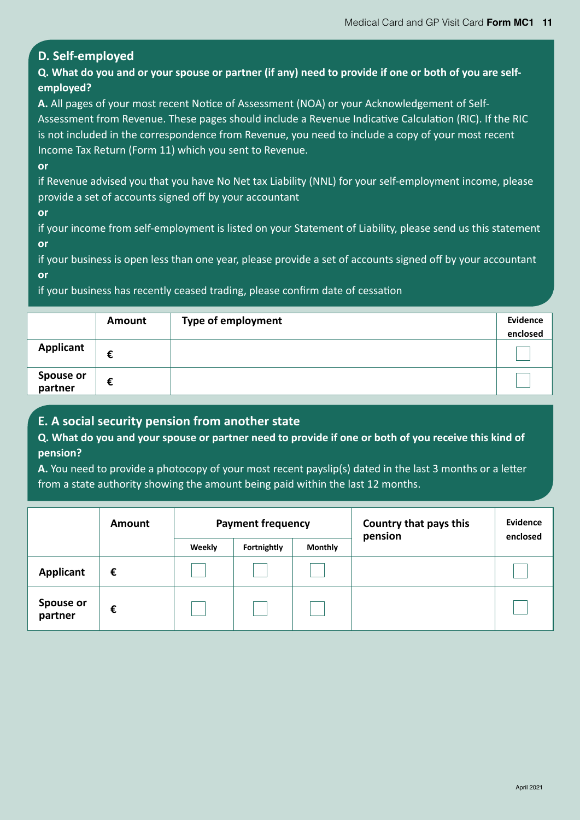### **D. Self-employed**

**Q. What do you and or your spouse or partner (if any) need to provide if one or both of you are selfemployed?**

**A.** All pages of your most recent Notice of Assessment (NOA) or your Acknowledgement of Self-Assessment from Revenue. These pages should include a Revenue Indicative Calculation (RIC). If the RIC is not included in the correspondence from Revenue, you need to include a copy of your most recent Income Tax Return (Form 11) which you sent to Revenue.

#### **or**

if Revenue advised you that you have No Net tax Liability (NNL) for your self-employment income, please provide a set of accounts signed off by your accountant

**or**

if your income from self-employment is listed on your Statement of Liability, please send us this statement **or**

if your business is open less than one year, please provide a set of accounts signed off by your accountant **or**

if your business has recently ceased trading, please confirm date of cessation

|                      | Amount | <b>Type of employment</b> | Evidence |
|----------------------|--------|---------------------------|----------|
|                      |        |                           | enclosed |
| <b>Applicant</b>     | €      |                           |          |
| Spouse or<br>partner | €      |                           |          |

### **E. A social security pension from another state**

**Q. What do you and your spouse or partner need to provide if one or both of you receive this kind of pension?**

**A.** You need to provide a photocopy of your most recent payslip(s) dated in the last 3 months or a letter from a state authority showing the amount being paid within the last 12 months.

|                      | Amount |        | <b>Payment frequency</b> |                | Country that pays this<br>pension | Evidence<br>enclosed |
|----------------------|--------|--------|--------------------------|----------------|-----------------------------------|----------------------|
|                      |        | Weekly | Fortnightly              | <b>Monthly</b> |                                   |                      |
| <b>Applicant</b>     | €      |        |                          |                |                                   |                      |
| Spouse or<br>partner | €      |        |                          |                |                                   |                      |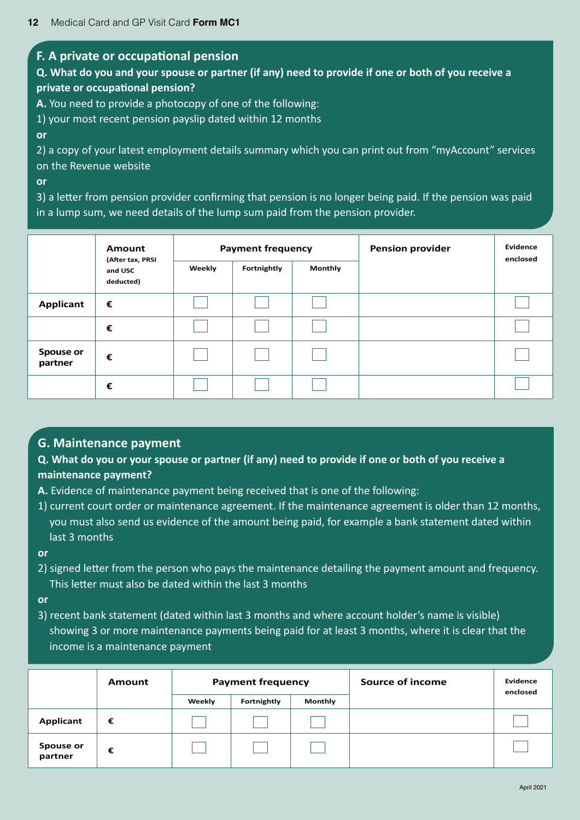#### **F. A private or occupational pension**

### **Q. What do you and your spouse or partner (if any) need to provide if one or both of you receive a private or occupational pension?**

**A.** You need to provide a photocopy of one of the following:

1) your most recent pension payslip dated within 12 months

**or**

2) a copy of your latest employment details summary which you can print out from "myAccount" services on the Revenue website

**or**

3) a letter from pension provider confirming that pension is no longer being paid. If the pension was paid in a lump sum, we need details of the lump sum paid from the pension provider.

|                      | <b>Amount</b>                            | <b>Payment frequency</b> |             |         | <b>Pension provider</b> | Evidence<br>enclosed |  |
|----------------------|------------------------------------------|--------------------------|-------------|---------|-------------------------|----------------------|--|
|                      | (After tax, PRSI<br>and USC<br>deducted) | Weekly                   | Fortnightly | Monthly |                         |                      |  |
| <b>Applicant</b>     | €                                        |                          |             |         |                         |                      |  |
|                      | €                                        |                          |             |         |                         |                      |  |
| Spouse or<br>partner | €                                        |                          |             |         |                         |                      |  |
|                      | €                                        |                          |             |         |                         |                      |  |

#### **G. Maintenance payment**

**Q. What do you or your spouse or partner (if any) need to provide if one or both of you receive a maintenance payment?**

- **A.** Evidence of maintenance payment being received that is one of the following:
- 1) current court order or maintenance agreement. If the maintenance agreement is older than 12 months, you must also send us evidence of the amount being paid, for example a bank statement dated within last 3 months

**or**

2) signed letter from the person who pays the maintenance detailing the payment amount and frequency. This letter must also be dated within the last 3 months

**or**

3) recent bank statement (dated within last 3 months and where account holder's name is visible) showing 3 or more maintenance payments being paid for at least 3 months, where it is clear that the income is a maintenance payment

|                      | Amount | <b>Payment frequency</b> |             | Source of income | Evidence<br>enclosed |  |
|----------------------|--------|--------------------------|-------------|------------------|----------------------|--|
|                      |        | Weekly                   | Fortnightly | Monthly          |                      |  |
| Applicant            | €      |                          |             |                  |                      |  |
| Spouse or<br>partner | €      |                          |             |                  |                      |  |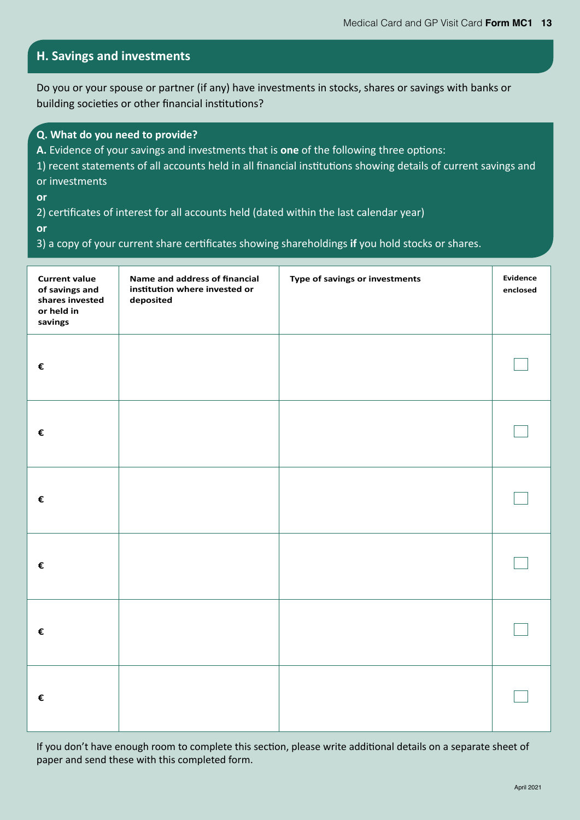### **H. Savings and investments**

Do you or your spouse or partner (if any) have investments in stocks, shares or savings with banks or building societies or other financial institutions?

| Q. What do you need to provide? |
|---------------------------------|
|---------------------------------|

**A.** Evidence of your savings and investments that is **one** of the following three options:

| 1) recent statements of all accounts held in all financial institutions showing details of current savings and |  |
|----------------------------------------------------------------------------------------------------------------|--|
| or investments                                                                                                 |  |

**or**

2) certificates of interest for all accounts held (dated within the last calendar year)

**or**

3) a copy of your current share certificates showing shareholdings **if** you hold stocks or shares.

| <b>Current value</b><br>of savings and<br>shares invested<br>or held in<br>savings | Name and address of financial<br>institution where invested or<br>deposited | Type of savings or investments | Evidence<br>enclosed |
|------------------------------------------------------------------------------------|-----------------------------------------------------------------------------|--------------------------------|----------------------|
| €                                                                                  |                                                                             |                                |                      |
| €                                                                                  |                                                                             |                                |                      |
| €                                                                                  |                                                                             |                                |                      |
| €                                                                                  |                                                                             |                                |                      |
| €                                                                                  |                                                                             |                                |                      |
| €                                                                                  |                                                                             |                                |                      |

If you don't have enough room to complete this section, please write additional details on a separate sheet of paper and send these with this completed form.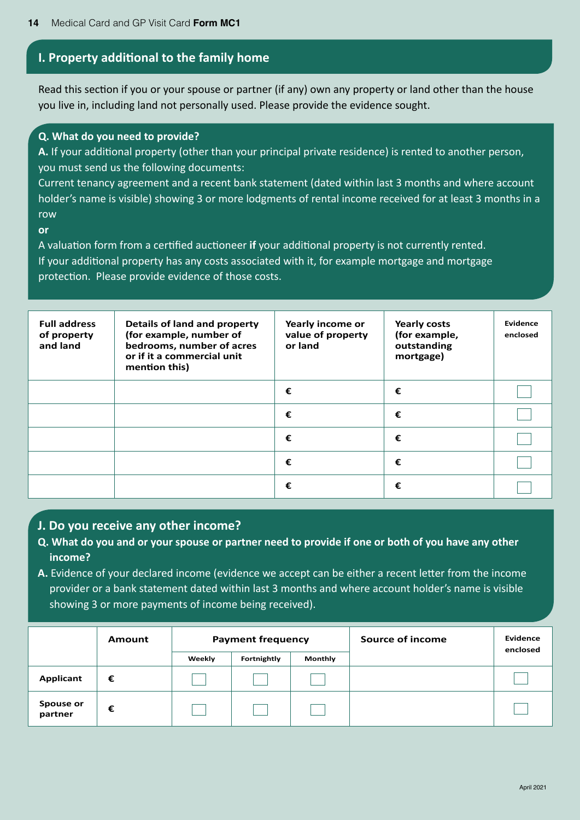### **I. Property additional to the family home**

Read this section if you or your spouse or partner (if any) own any property or land other than the house you live in, including land not personally used. Please provide the evidence sought.

#### **Q. What do you need to provide?**

**A.** If your additional property (other than your principal private residence) is rented to another person, you must send us the following documents:

Current tenancy agreement and a recent bank statement (dated within last 3 months and where account holder's name is visible) showing 3 or more lodgments of rental income received for at least 3 months in a row

#### **or**

A valuation form from a certified auctioneer **if** your additional property is not currently rented. If your additional property has any costs associated with it, for example mortgage and mortgage protection. Please provide evidence of those costs.

| <b>Full address</b><br>of property<br>and land | <b>Details of land and property</b><br>(for example, number of<br>bedrooms, number of acres<br>or if it a commercial unit<br>mention this) | Yearly income or<br>value of property<br>or land | <b>Yearly costs</b><br>(for example,<br>outstanding<br>mortgage) | Evidence<br>enclosed |
|------------------------------------------------|--------------------------------------------------------------------------------------------------------------------------------------------|--------------------------------------------------|------------------------------------------------------------------|----------------------|
|                                                |                                                                                                                                            | €                                                | €                                                                |                      |
|                                                |                                                                                                                                            | €                                                | €                                                                |                      |
|                                                |                                                                                                                                            | €                                                | €                                                                |                      |
|                                                |                                                                                                                                            | €                                                | €                                                                |                      |
|                                                |                                                                                                                                            | €                                                | €                                                                |                      |

#### **J. Do you receive any other income?**

- **Q. What do you and or your spouse or partner need to provide if one or both of you have any other income?**
- **A.** Evidence of your declared income (evidence we accept can be either a recent letter from the income provider or a bank statement dated within last 3 months and where account holder's name is visible showing 3 or more payments of income being received).

|                      | <b>Payment frequency</b><br>Amount |        |             |                |  | Source of income | <b>Evidence</b><br>enclosed |
|----------------------|------------------------------------|--------|-------------|----------------|--|------------------|-----------------------------|
|                      |                                    | Weekly | Fortnightly | <b>Monthly</b> |  |                  |                             |
| Applicant            | €                                  |        |             |                |  |                  |                             |
| Spouse or<br>partner | €                                  |        |             |                |  |                  |                             |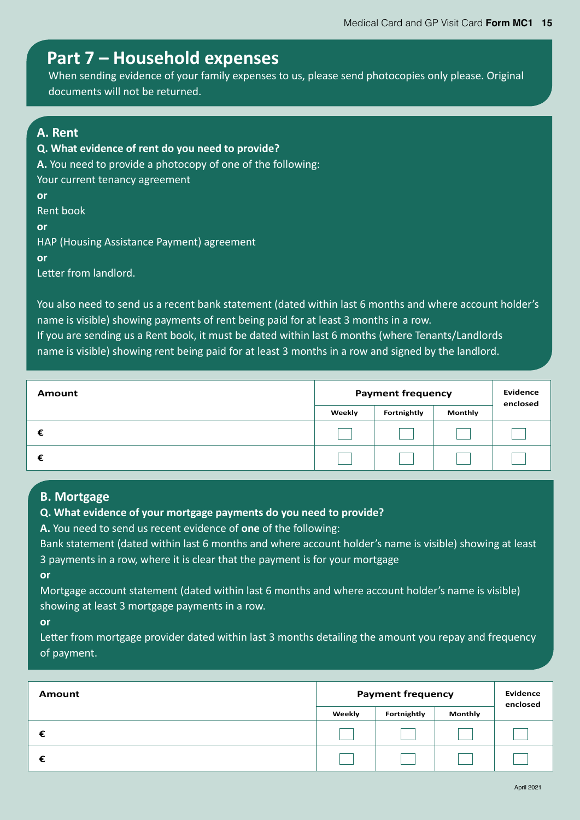### **Part 7 – Household expenses**

When sending evidence of your family expenses to us, please send photocopies only please. Original documents will not be returned.

### **A. Rent**

**Q. What evidence of rent do you need to provide? A.** You need to provide a photocopy of one of the following: Your current tenancy agreement **or**  Rent book **or**  HAP (Housing Assistance Payment) agreement **or** 

Letter from landlord.

You also need to send us a recent bank statement (dated within last 6 months and where account holder's name is visible) showing payments of rent being paid for at least 3 months in a row. If you are sending us a Rent book, it must be dated within last 6 months (where Tenants/Landlords

name is visible) showing rent being paid for at least 3 months in a row and signed by the landlord.

| <b>Amount</b> | <b>Payment frequency</b> |             |                | <b>Evidence</b><br>enclosed |
|---------------|--------------------------|-------------|----------------|-----------------------------|
|               | Weekly                   | Fortnightly | <b>Monthly</b> |                             |
| €             |                          |             |                |                             |
| €             |                          |             |                |                             |

#### **B. Mortgage**

#### **Q. What evidence of your mortgage payments do you need to provide?**

**A.** You need to send us recent evidence of **one** of the following:

Bank statement (dated within last 6 months and where account holder's name is visible) showing at least 3 payments in a row, where it is clear that the payment is for your mortgage

**or**

Mortgage account statement (dated within last 6 months and where account holder's name is visible) showing at least 3 mortgage payments in a row.

**or**

Letter from mortgage provider dated within last 3 months detailing the amount you repay and frequency of payment.

| Amount | <b>Payment frequency</b> | <b>Evidence</b><br>enclosed |                |  |
|--------|--------------------------|-----------------------------|----------------|--|
|        | Weekly                   | Fortnightly                 | <b>Monthly</b> |  |
| €      |                          |                             |                |  |
|        |                          |                             |                |  |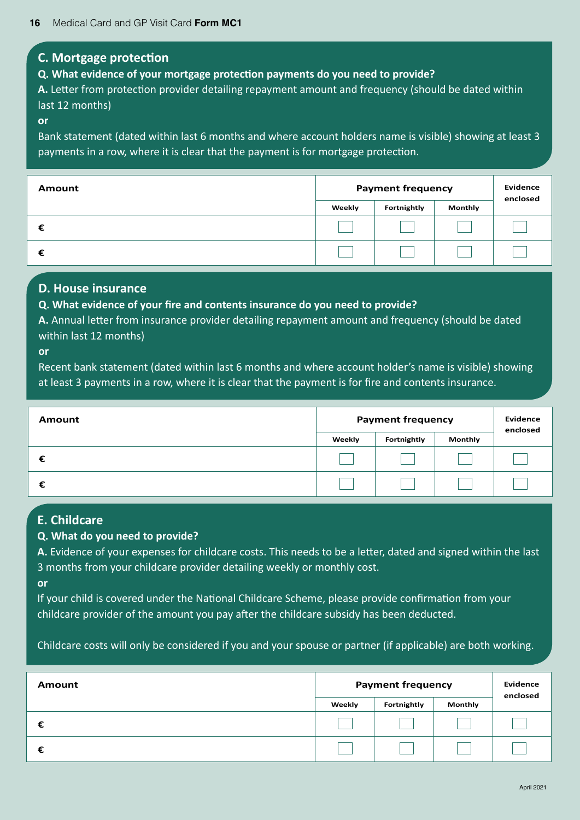#### **C. Mortgage protection**

**Q. What evidence of your mortgage protection payments do you need to provide?**

**A.** Letter from protection provider detailing repayment amount and frequency (should be dated within last 12 months)

#### **or**

Bank statement (dated within last 6 months and where account holders name is visible) showing at least 3 payments in a row, where it is clear that the payment is for mortgage protection.

| Amount | <b>Payment frequency</b> |             |                | <b>Evidence</b><br>enclosed |
|--------|--------------------------|-------------|----------------|-----------------------------|
|        | Weekly                   | Fortnightly | <b>Monthly</b> |                             |
| €      |                          |             |                |                             |
| €      |                          |             |                |                             |

#### **D. House insurance**

#### **Q. What evidence of your fire and contents insurance do you need to provide?**

**A.** Annual letter from insurance provider detailing repayment amount and frequency (should be dated within last 12 months)

#### **or**

Recent bank statement (dated within last 6 months and where account holder's name is visible) showing at least 3 payments in a row, where it is clear that the payment is for fire and contents insurance.

| <b>Amount</b> | <b>Payment frequency</b> |             |                | <b>Evidence</b><br>enclosed |
|---------------|--------------------------|-------------|----------------|-----------------------------|
|               | Weekly                   | Fortnightly | <b>Monthly</b> |                             |
| €             |                          |             |                |                             |
| €             |                          |             |                |                             |

### **E. Childcare**

#### **Q. What do you need to provide?**

**A.** Evidence of your expenses for childcare costs. This needs to be a letter, dated and signed within the last 3 months from your childcare provider detailing weekly or monthly cost.

#### **or**

If your child is covered under the National Childcare Scheme, please provide confirmation from your childcare provider of the amount you pay after the childcare subsidy has been deducted.

Childcare costs will only be considered if you and your spouse or partner (if applicable) are both working.

| Amount | <b>Payment frequency</b> | <b>Evidence</b><br>enclosed |                |  |
|--------|--------------------------|-----------------------------|----------------|--|
|        | Weekly                   | Fortnightly                 | <b>Monthly</b> |  |
|        |                          |                             |                |  |
|        |                          |                             |                |  |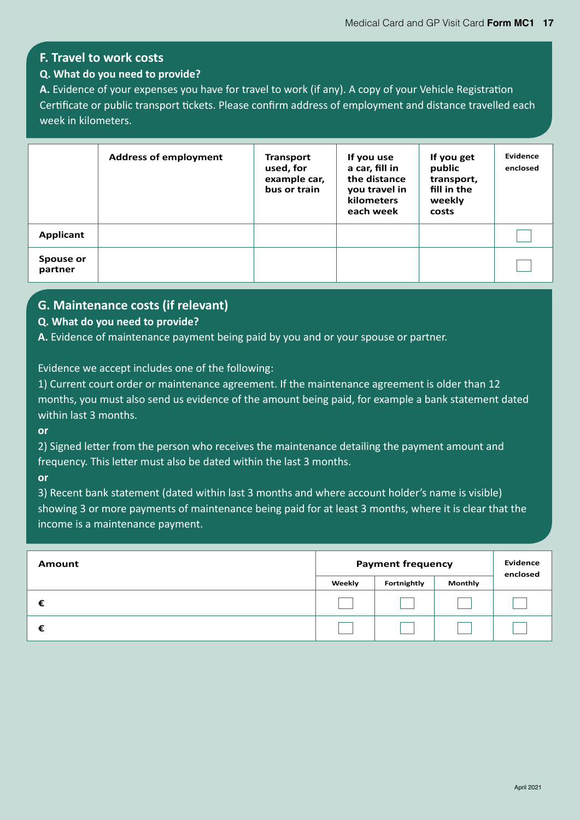### **F. Travel to work costs**

#### **Q. What do you need to provide?**

**A.** Evidence of your expenses you have for travel to work (if any). A copy of your Vehicle Registration Certificate or public transport tickets. Please confirm address of employment and distance travelled each week in kilometers.

|                      | <b>Address of employment</b> | <b>Transport</b><br>used, for<br>example car,<br>bus or train | If you use<br>a car, fill in<br>the distance<br>you travel in<br><b>kilometers</b><br>each week | If you get<br>public<br>transport,<br>fill in the<br>weekly<br>costs | Evidence<br>enclosed |
|----------------------|------------------------------|---------------------------------------------------------------|-------------------------------------------------------------------------------------------------|----------------------------------------------------------------------|----------------------|
| Applicant            |                              |                                                               |                                                                                                 |                                                                      |                      |
| Spouse or<br>partner |                              |                                                               |                                                                                                 |                                                                      |                      |

### **G. Maintenance costs (if relevant)**

#### **Q. What do you need to provide?**

**A.** Evidence of maintenance payment being paid by you and or your spouse or partner.

Evidence we accept includes one of the following:

1) Current court order or maintenance agreement. If the maintenance agreement is older than 12 months, you must also send us evidence of the amount being paid, for example a bank statement dated within last 3 months.

**or**

2) Signed letter from the person who receives the maintenance detailing the payment amount and frequency. This letter must also be dated within the last 3 months.

**or**

3) Recent bank statement (dated within last 3 months and where account holder's name is visible) showing 3 or more payments of maintenance being paid for at least 3 months, where it is clear that the income is a maintenance payment.

| Amount | <b>Payment frequency</b> |             | Evidence<br>enclosed |  |
|--------|--------------------------|-------------|----------------------|--|
|        | Weekly                   | Fortnightly | Monthly              |  |
|        |                          |             |                      |  |
| €      |                          |             |                      |  |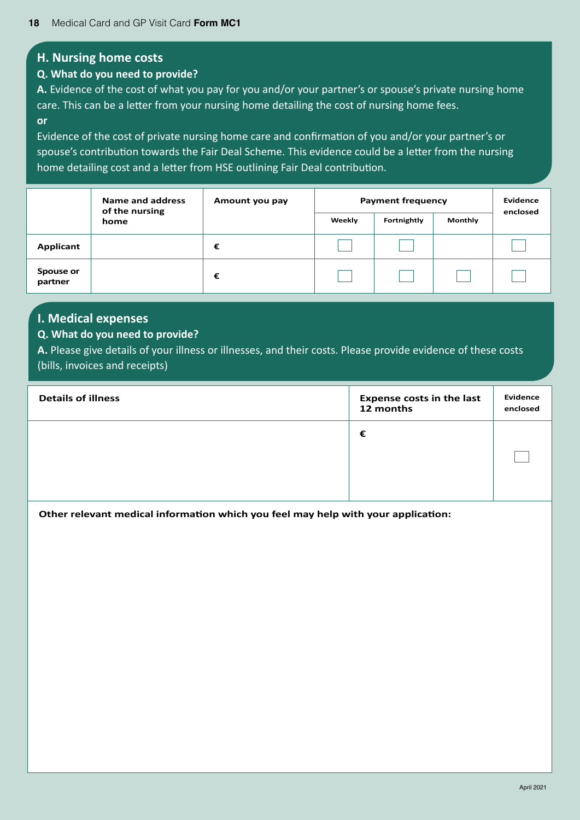#### **H. Nursing home costs**

#### **Q. What do you need to provide?**

**A.** Evidence of the cost of what you pay for you and/or your partner's or spouse's private nursing home care. This can be a letter from your nursing home detailing the cost of nursing home fees. **or**

Evidence of the cost of private nursing home care and confirmation of you and/or your partner's or spouse's contribution towards the Fair Deal Scheme. This evidence could be a letter from the nursing home detailing cost and a letter from HSE outlining Fair Deal contribution.

|                      | Name and address<br>of the nursing | Amount you pay | <b>Payment frequency</b> |         |  | Evidence<br>enclosed |
|----------------------|------------------------------------|----------------|--------------------------|---------|--|----------------------|
| home                 |                                    | Weekly         | Fortnightly              | Monthly |  |                      |
| Applicant            |                                    | €              |                          |         |  |                      |
| Spouse or<br>partner |                                    | €              |                          |         |  |                      |

#### **I. Medical expenses**

#### **Q. What do you need to provide?**

**A.** Please give details of your illness or illnesses, and their costs. Please provide evidence of these costs (bills, invoices and receipts)

| <b>Details of illness</b> | <b>Expense costs in the last</b><br>12 months | <b>Evidence</b><br>enclosed |
|---------------------------|-----------------------------------------------|-----------------------------|
|                           | €                                             |                             |
|                           |                                               |                             |

**Other relevant medical information which you feel may help with your application:**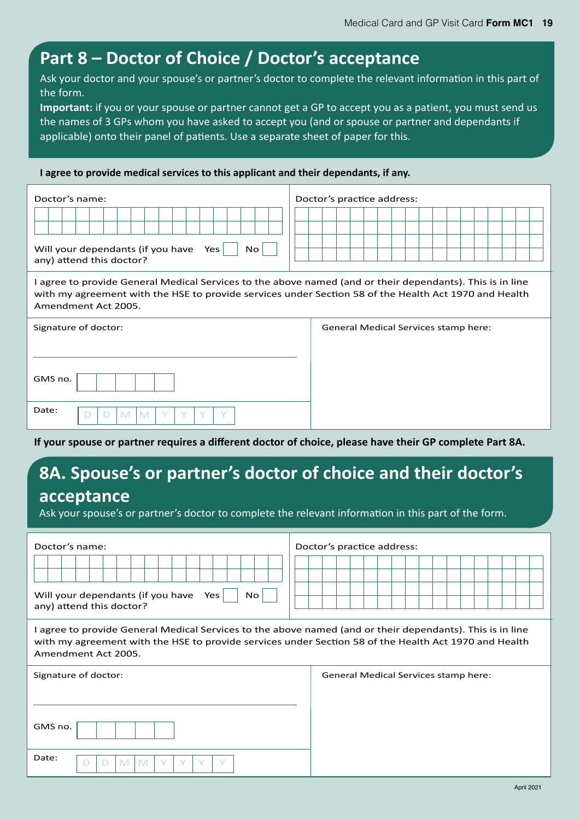# **Part 8 – Doctor of Choice / Doctor's acceptance**

Ask your doctor and your spouse's or partner's doctor to complete the relevant information in this part of the form.

**Important:** if you or your spouse or partner cannot get a GP to accept you as a patient, you must send us the names of 3 GPs whom you have asked to accept you (and or spouse or partner and dependants if applicable) onto their panel of patients. Use a separate sheet of paper for this.

**I agree to provide medical services to this applicant and their dependants, if any.**

| Doctor's name:                                                                                                                                                                                                                            | Doctor's practice address:           |  |  |  |
|-------------------------------------------------------------------------------------------------------------------------------------------------------------------------------------------------------------------------------------------|--------------------------------------|--|--|--|
| Will your dependants (if you have<br>Yes<br>No.<br>any) attend this doctor?                                                                                                                                                               |                                      |  |  |  |
| I agree to provide General Medical Services to the above named (and or their dependants). This is in line<br>with my agreement with the HSE to provide services under Section 58 of the Health Act 1970 and Health<br>Amendment Act 2005. |                                      |  |  |  |
| Signature of doctor:                                                                                                                                                                                                                      | General Medical Services stamp here: |  |  |  |
| GMS no.                                                                                                                                                                                                                                   |                                      |  |  |  |
| Date:<br>$\checkmark$<br>M<br>M<br>$\Box$<br>D                                                                                                                                                                                            |                                      |  |  |  |

**If your spouse or partner requires a different doctor of choice, please have their GP complete Part 8A.**

# **8A. Spouse's or partner's doctor of choice and their doctor's acceptance**

Ask your spouse's or partner's doctor to complete the relevant information in this part of the form.

| Doctor's name:<br>Will your dependants (if you have<br>Yes<br>No.<br>any) attend this doctor?                                                                                                                                             | Doctor's practice address:           |  |  |  |
|-------------------------------------------------------------------------------------------------------------------------------------------------------------------------------------------------------------------------------------------|--------------------------------------|--|--|--|
| I agree to provide General Medical Services to the above named (and or their dependants). This is in line<br>with my agreement with the HSE to provide services under Section 58 of the Health Act 1970 and Health<br>Amendment Act 2005. |                                      |  |  |  |
| Signature of doctor:                                                                                                                                                                                                                      | General Medical Services stamp here: |  |  |  |
| GMS no.<br>Date:<br>M<br>M<br>$\checkmark$<br>$\checkmark$<br>$\checkmark$<br>$\Box$<br>D                                                                                                                                                 |                                      |  |  |  |
|                                                                                                                                                                                                                                           |                                      |  |  |  |